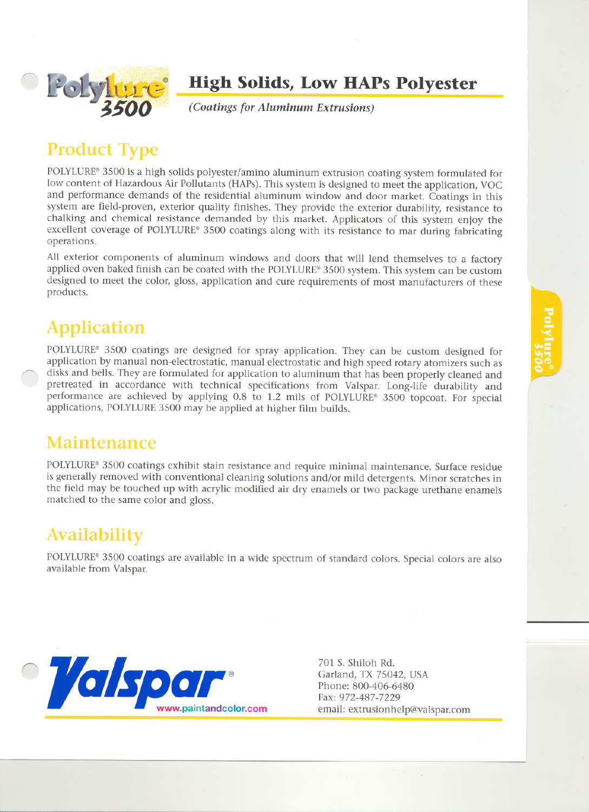

#### **High Solids, Low HAPs Polyester**

*(Coatings for Aluminum Extrusions)*

## **Product Type**

POLYLURE® 3500 is a high solids polyester/amino aluminum extrusion coating system formulated for low content of Hazardous Air Pollutants (HAPs). This system is designed to meet the application, VOC and performance demands of the residential aluminum window and door market. Coatings in this system are field-proven, exterior quality finishes. They provide the exterior durability, resistance to chalking and chemical resistance demanded by this market. Applicators of this system enjoy the excellent coverage of POLYLURE® 3500 coatings along with its resistance to mar during fabricating operations.

All exterior components of aluminum windows and doors that will lend themselves to a factory applied oven baked finish can be coated with the POLYLURE® 3500 system. This system can be custom designed to meet the color, gloss, application and cure requirements of most manufacturers of these products.

## **Application**

POLYLURE® 3500 coatings are designed for spray application. They can be custom designed for application by manual non-electrostatic, manual electrostatic and high speed rotary atomizers such as disks and bells. They are formulated for application to aluminum that has been properly cleaned and pretreated in accordance with technical specifications from Valspar. Long-life durability and performance are achieved by applying 0.8 to 1.2 mils of POLYLURE® 3500 topcoat. For special applications, POLYLURE 3500 may be applied at higher film builds.

#### Maintenance

POLYLURE® 3500 coatings exhibit stain resistance and require minimal maintenance. Surface residue is generally removed with conventional cleaning solutions and/or mild detergents. Minor scratches in the field may be touched up with acrylic modified air dry enamels or two package urethane enamels matched to the same color and gloss.

## Availability

POLYLURE® 3500 coatings are available in a wide spectrum of standard colors. Special colors are also available from Valspar.



Garland, TX 75042, USA Phone: 800-406-6480 Fax: 972-487-7229 email: extrusionhelp@Valspar.com